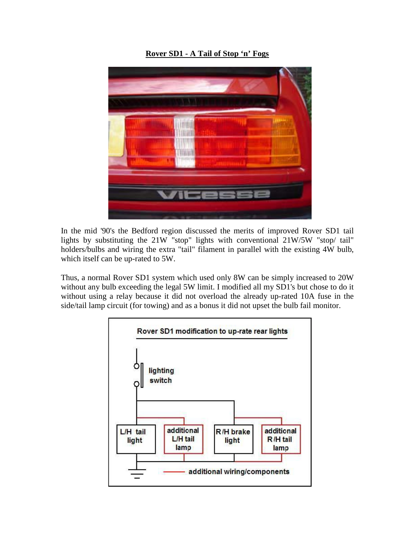**Rover SD1 - A Tail of Stop 'n' Fogs**



In the mid '90's the Bedford region discussed the merits of improved Rover SD1 tail lights by substituting the 21W "stop" lights with conventional 21W/5W "stop/ tail" holders/bulbs and wiring the extra "tail" filament in parallel with the existing 4W bulb, which itself can be up-rated to 5W.

Thus, a normal Rover SD1 system which used only 8W can be simply increased to 20W without any bulb exceeding the legal 5W limit. I modified all my SD1's but chose to do it without using a relay because it did not overload the already up-rated 10A fuse in the side/tail lamp circuit (for towing) and as a bonus it did not upset the bulb fail monitor.

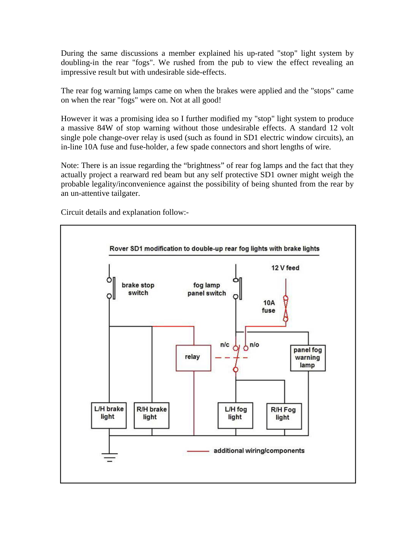During the same discussions a member explained his up-rated "stop" light system by doubling-in the rear "fogs". We rushed from the pub to view the effect revealing an impressive result but with undesirable side-effects.

The rear fog warning lamps came on when the brakes were applied and the "stops" came on when the rear "fogs" were on. Not at all good!

However it was a promising idea so I further modified my "stop" light system to produce a massive 84W of stop warning without those undesirable effects. A standard 12 volt single pole change-over relay is used (such as found in SD1 electric window circuits), an in-line 10A fuse and fuse-holder, a few spade connectors and short lengths of wire.

Note: There is an issue regarding the "brightness" of rear fog lamps and the fact that they actually project a rearward red beam but any self protective SD1 owner might weigh the probable legality/inconvenience against the possibility of being shunted from the rear by an un-attentive tailgater.

Circuit details and explanation follow:-